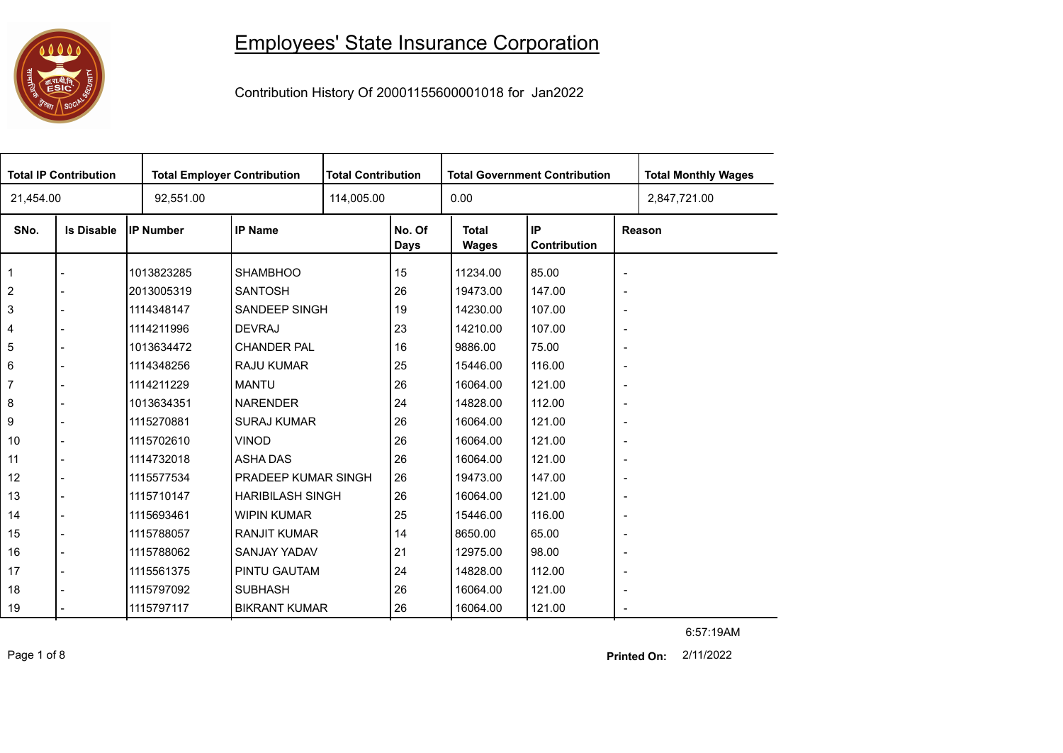## 

## Employees' State Insurance Corporation

Contribution History Of 20001155600001018 for Jan2022

| <b>Total IP Contribution</b> |                   |                  | <b>Total Employer Contribution</b> |  | <b>Total Contribution</b><br><b>Total Government Contribution</b> |                              |                    |                          | <b>Total Monthly Wages</b> |
|------------------------------|-------------------|------------------|------------------------------------|--|-------------------------------------------------------------------|------------------------------|--------------------|--------------------------|----------------------------|
| 21,454.00                    |                   | 92,551.00        |                                    |  |                                                                   | 0.00                         |                    |                          | 2,847,721.00               |
| SNo.                         | <b>Is Disable</b> | <b>IP Number</b> | <b>IP Name</b>                     |  | No. Of<br><b>Days</b>                                             | <b>Total</b><br><b>Wages</b> | IP<br>Contribution |                          | Reason                     |
| $\mathbf{1}$                 |                   | 1013823285       | <b>SHAMBHOO</b>                    |  | 15                                                                | 11234.00                     | 85.00              | $\overline{\phantom{a}}$ |                            |
| $\overline{2}$               |                   | 2013005319       | <b>SANTOSH</b>                     |  | 26                                                                | 19473.00                     | 147.00             | $\overline{\phantom{a}}$ |                            |
| 3                            |                   | 1114348147       | <b>SANDEEP SINGH</b>               |  | 19                                                                | 14230.00                     | 107.00             | $\overline{\phantom{a}}$ |                            |
| $\overline{4}$               |                   | 1114211996       | <b>DEVRAJ</b>                      |  | 23                                                                | 14210.00                     | 107.00             | $\overline{\phantom{a}}$ |                            |
| 5                            |                   | 1013634472       | <b>CHANDER PAL</b>                 |  | 16                                                                | 9886.00                      | 75.00              | $\overline{\phantom{a}}$ |                            |
| 6                            |                   | 1114348256       | <b>RAJU KUMAR</b>                  |  | 25                                                                | 15446.00                     | 116.00             | $\overline{\phantom{a}}$ |                            |
| $\overline{7}$               |                   | 1114211229       | <b>MANTU</b>                       |  | 26                                                                | 16064.00                     | 121.00             | $\overline{\phantom{a}}$ |                            |
| 8                            |                   | 1013634351       | <b>NARENDER</b>                    |  | 24                                                                | 14828.00                     | 112.00             | $\overline{\phantom{a}}$ |                            |
| 9                            |                   | 1115270881       | <b>SURAJ KUMAR</b>                 |  | 26                                                                | 16064.00                     | 121.00             | $\overline{\phantom{a}}$ |                            |
| 10                           |                   | 1115702610       | <b>VINOD</b>                       |  | 26                                                                | 16064.00                     | 121.00             | $\overline{\phantom{a}}$ |                            |
| 11                           |                   | 1114732018       | <b>ASHA DAS</b>                    |  | 26                                                                | 16064.00                     | 121.00             | $\overline{\phantom{a}}$ |                            |
| 12                           |                   | 1115577534       | PRADEEP KUMAR SINGH                |  | 26                                                                | 19473.00                     | 147.00             | $\overline{\phantom{a}}$ |                            |
| 13                           |                   | 1115710147       | <b>HARIBILASH SINGH</b>            |  | 26                                                                | 16064.00                     | 121.00             | $\overline{\phantom{a}}$ |                            |
| 14                           |                   | 1115693461       | <b>WIPIN KUMAR</b>                 |  | 25                                                                | 15446.00                     | 116.00             | $\overline{\phantom{a}}$ |                            |
| 15                           |                   | 1115788057       | <b>RANJIT KUMAR</b>                |  | 14                                                                | 8650.00                      | 65.00              | $\overline{\phantom{a}}$ |                            |
| 16                           |                   | 1115788062       | <b>SANJAY YADAV</b>                |  | 21                                                                | 12975.00                     | 98.00              | $\overline{\phantom{a}}$ |                            |
| 17                           |                   | 1115561375       | PINTU GAUTAM                       |  | 24                                                                | 14828.00                     | 112.00             | $\overline{\phantom{a}}$ |                            |
| 18                           |                   | 1115797092       | <b>SUBHASH</b>                     |  | 26                                                                | 16064.00                     | 121.00             | $\overline{\phantom{a}}$ |                            |
| 19                           |                   | 1115797117       | <b>BIKRANT KUMAR</b>               |  | 26                                                                | 16064.00                     | 121.00             | $\overline{\phantom{a}}$ |                            |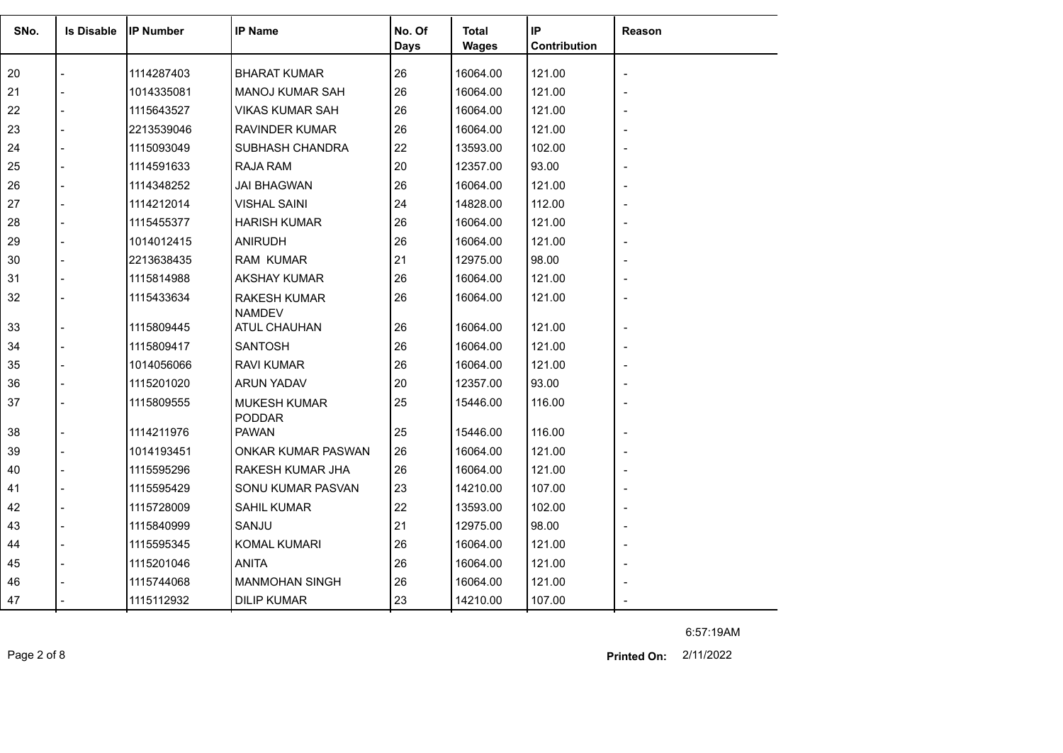| SNo. | <b>Is Disable</b> | <b>IP Number</b> | <b>IP Name</b>                       | No. Of<br>Days | <b>Total</b><br><b>Wages</b> | IP<br>Contribution | Reason |
|------|-------------------|------------------|--------------------------------------|----------------|------------------------------|--------------------|--------|
| 20   |                   | 1114287403       | <b>BHARAT KUMAR</b>                  | 26             | 16064.00                     | 121.00             |        |
| 21   |                   | 1014335081       | <b>MANOJ KUMAR SAH</b>               | 26             | 16064.00                     | 121.00             |        |
| 22   |                   | 1115643527       | <b>VIKAS KUMAR SAH</b>               | 26             | 16064.00                     | 121.00             |        |
| 23   |                   | 2213539046       | <b>RAVINDER KUMAR</b>                | 26             | 16064.00                     | 121.00             |        |
| 24   |                   | 1115093049       | SUBHASH CHANDRA                      | 22             | 13593.00                     | 102.00             |        |
| 25   |                   | 1114591633       | <b>RAJA RAM</b>                      | 20             | 12357.00                     | 93.00              |        |
| 26   |                   | 1114348252       | <b>JAI BHAGWAN</b>                   | 26             | 16064.00                     | 121.00             |        |
| 27   |                   | 1114212014       | <b>VISHAL SAINI</b>                  | 24             | 14828.00                     | 112.00             |        |
| 28   |                   | 1115455377       | <b>HARISH KUMAR</b>                  | 26             | 16064.00                     | 121.00             |        |
| 29   |                   | 1014012415       | <b>ANIRUDH</b>                       | 26             | 16064.00                     | 121.00             |        |
| 30   |                   | 2213638435       | <b>RAM KUMAR</b>                     | 21             | 12975.00                     | 98.00              |        |
| 31   |                   | 1115814988       | <b>AKSHAY KUMAR</b>                  | 26             | 16064.00                     | 121.00             |        |
| 32   |                   | 1115433634       | <b>RAKESH KUMAR</b>                  | 26             | 16064.00                     | 121.00             |        |
|      |                   |                  | <b>NAMDEV</b>                        |                |                              |                    |        |
| 33   |                   | 1115809445       | <b>ATUL CHAUHAN</b>                  | 26             | 16064.00                     | 121.00             |        |
| 34   |                   | 1115809417       | <b>SANTOSH</b>                       | 26             | 16064.00                     | 121.00             |        |
| 35   |                   | 1014056066       | <b>RAVI KUMAR</b>                    | 26             | 16064.00                     | 121.00             |        |
| 36   |                   | 1115201020       | <b>ARUN YADAV</b>                    | 20             | 12357.00                     | 93.00              |        |
| 37   |                   | 1115809555       | <b>MUKESH KUMAR</b><br><b>PODDAR</b> | 25             | 15446.00                     | 116.00             |        |
| 38   |                   | 1114211976       | <b>PAWAN</b>                         | 25             | 15446.00                     | 116.00             |        |
| 39   |                   | 1014193451       | ONKAR KUMAR PASWAN                   | 26             | 16064.00                     | 121.00             |        |
| 40   |                   | 1115595296       | RAKESH KUMAR JHA                     | 26             | 16064.00                     | 121.00             |        |
| 41   |                   | 1115595429       | SONU KUMAR PASVAN                    | 23             | 14210.00                     | 107.00             |        |
| 42   |                   | 1115728009       | <b>SAHIL KUMAR</b>                   | 22             | 13593.00                     | 102.00             |        |
| 43   |                   | 1115840999       | SANJU                                | 21             | 12975.00                     | 98.00              |        |
| 44   |                   | 1115595345       | KOMAL KUMARI                         | 26             | 16064.00                     | 121.00             |        |
| 45   |                   | 1115201046       | <b>ANITA</b>                         | 26             | 16064.00                     | 121.00             |        |
| 46   |                   | 1115744068       | <b>MANMOHAN SINGH</b>                | 26             | 16064.00                     | 121.00             |        |
| 47   |                   | 1115112932       | <b>DILIP KUMAR</b>                   | 23             | 14210.00                     | 107.00             |        |

6:57:19AM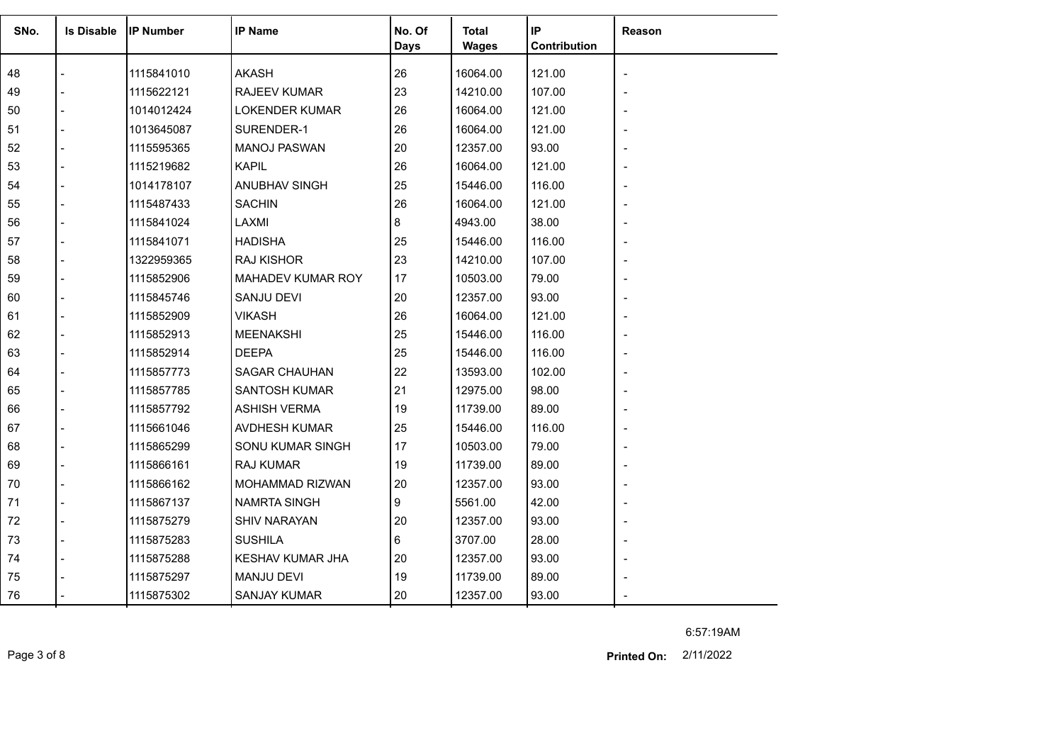| SNo. | <b>Is Disable</b> | <b>IP Number</b> | <b>IP Name</b>        | No. Of<br><b>Days</b> | <b>Total</b><br><b>Wages</b> | IP<br>Contribution | Reason |
|------|-------------------|------------------|-----------------------|-----------------------|------------------------------|--------------------|--------|
| 48   |                   | 1115841010       | <b>AKASH</b>          | 26                    | 16064.00                     | 121.00             |        |
| 49   |                   | 1115622121       | <b>RAJEEV KUMAR</b>   | 23                    | 14210.00                     | 107.00             |        |
| 50   |                   | 1014012424       | <b>LOKENDER KUMAR</b> | 26                    | 16064.00                     | 121.00             |        |
| 51   |                   | 1013645087       | SURENDER-1            | 26                    | 16064.00                     | 121.00             |        |
| 52   |                   | 1115595365       | <b>MANOJ PASWAN</b>   | 20                    | 12357.00                     | 93.00              |        |
| 53   |                   | 1115219682       | <b>KAPIL</b>          | 26                    | 16064.00                     | 121.00             |        |
| 54   |                   | 1014178107       | ANUBHAV SINGH         | 25                    | 15446.00                     | 116.00             |        |
| 55   |                   | 1115487433       | <b>SACHIN</b>         | 26                    | 16064.00                     | 121.00             |        |
| 56   |                   | 1115841024       | LAXMI                 | 8                     | 4943.00                      | 38.00              |        |
| 57   |                   | 1115841071       | <b>HADISHA</b>        | 25                    | 15446.00                     | 116.00             |        |
| 58   |                   | 1322959365       | <b>RAJ KISHOR</b>     | 23                    | 14210.00                     | 107.00             |        |
| 59   |                   | 1115852906       | MAHADEV KUMAR ROY     | 17                    | 10503.00                     | 79.00              |        |
| 60   |                   | 1115845746       | <b>SANJU DEVI</b>     | 20                    | 12357.00                     | 93.00              |        |
| 61   |                   | 1115852909       | <b>VIKASH</b>         | 26                    | 16064.00                     | 121.00             |        |
| 62   |                   | 1115852913       | <b>MEENAKSHI</b>      | 25                    | 15446.00                     | 116.00             |        |
| 63   |                   | 1115852914       | <b>DEEPA</b>          | 25                    | 15446.00                     | 116.00             |        |
| 64   |                   | 1115857773       | <b>SAGAR CHAUHAN</b>  | 22                    | 13593.00                     | 102.00             |        |
| 65   |                   | 1115857785       | <b>SANTOSH KUMAR</b>  | 21                    | 12975.00                     | 98.00              |        |
| 66   |                   | 1115857792       | <b>ASHISH VERMA</b>   | 19                    | 11739.00                     | 89.00              |        |
| 67   |                   | 1115661046       | AVDHESH KUMAR         | 25                    | 15446.00                     | 116.00             |        |
| 68   |                   | 1115865299       | SONU KUMAR SINGH      | 17                    | 10503.00                     | 79.00              |        |
| 69   |                   | 1115866161       | RAJ KUMAR             | 19                    | 11739.00                     | 89.00              |        |
| 70   |                   | 1115866162       | MOHAMMAD RIZWAN       | 20                    | 12357.00                     | 93.00              |        |
| 71   |                   | 1115867137       | NAMRTA SINGH          | 9                     | 5561.00                      | 42.00              |        |
| 72   |                   | 1115875279       | <b>SHIV NARAYAN</b>   | 20                    | 12357.00                     | 93.00              |        |
| 73   |                   | 1115875283       | <b>SUSHILA</b>        | 6                     | 3707.00                      | 28.00              |        |
| 74   |                   | 1115875288       | KESHAV KUMAR JHA      | 20                    | 12357.00                     | 93.00              |        |
| 75   |                   | 1115875297       | <b>MANJU DEVI</b>     | 19                    | 11739.00                     | 89.00              |        |
| 76   |                   | 1115875302       | <b>SANJAY KUMAR</b>   | 20                    | 12357.00                     | 93.00              |        |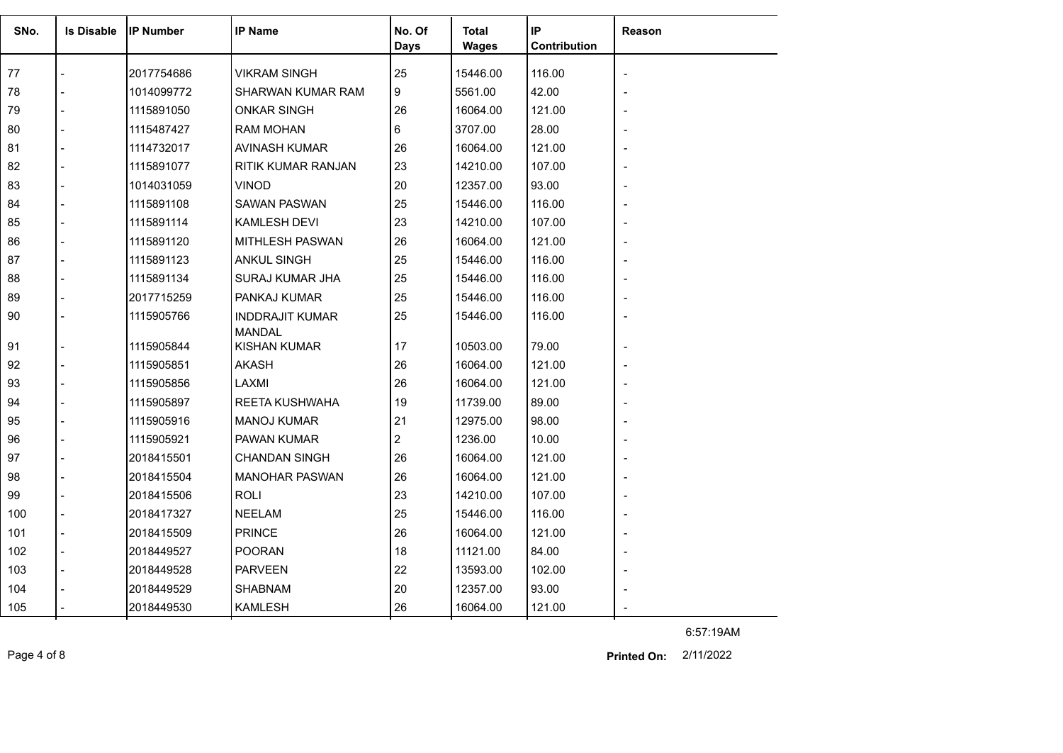| SNo. | <b>Is Disable</b> | <b>IIP Number</b> | <b>IP Name</b>                          | No. Of         | <b>Total</b> | IP           | <b>Reason</b> |
|------|-------------------|-------------------|-----------------------------------------|----------------|--------------|--------------|---------------|
|      |                   |                   |                                         | Days           | <b>Wages</b> | Contribution |               |
| 77   |                   | 2017754686        | <b>VIKRAM SINGH</b>                     | 25             | 15446.00     | 116.00       |               |
| 78   |                   | 1014099772        | SHARWAN KUMAR RAM                       | 9              | 5561.00      | 42.00        |               |
| 79   |                   | 1115891050        | <b>ONKAR SINGH</b>                      | 26             | 16064.00     | 121.00       |               |
| 80   |                   | 1115487427        | <b>RAM MOHAN</b>                        | 6              | 3707.00      | 28.00        |               |
| 81   |                   | 1114732017        | AVINASH KUMAR                           | 26             | 16064.00     | 121.00       |               |
| 82   |                   | 1115891077        | RITIK KUMAR RANJAN                      | 23             | 14210.00     | 107.00       |               |
| 83   |                   | 1014031059        | <b>VINOD</b>                            | 20             | 12357.00     | 93.00        |               |
| 84   |                   | 1115891108        | SAWAN PASWAN                            | 25             | 15446.00     | 116.00       |               |
| 85   |                   | 1115891114        | KAMLESH DEVI                            | 23             | 14210.00     | 107.00       |               |
| 86   |                   | 1115891120        | <b>MITHLESH PASWAN</b>                  | 26             | 16064.00     | 121.00       |               |
| 87   |                   | 1115891123        | <b>ANKUL SINGH</b>                      | 25             | 15446.00     | 116.00       |               |
| 88   |                   | 1115891134        | SURAJ KUMAR JHA                         | 25             | 15446.00     | 116.00       |               |
| 89   |                   | 2017715259        | PANKAJ KUMAR                            | 25             | 15446.00     | 116.00       |               |
| 90   |                   | 1115905766        | <b>INDDRAJIT KUMAR</b><br><b>MANDAL</b> | 25             | 15446.00     | 116.00       |               |
| 91   |                   | 1115905844        | <b>KISHAN KUMAR</b>                     | 17             | 10503.00     | 79.00        |               |
| 92   |                   | 1115905851        | <b>AKASH</b>                            | 26             | 16064.00     | 121.00       |               |
| 93   |                   | 1115905856        | LAXMI                                   | 26             | 16064.00     | 121.00       |               |
| 94   |                   | 1115905897        | REETA KUSHWAHA                          | 19             | 11739.00     | 89.00        |               |
| 95   |                   | 1115905916        | <b>MANOJ KUMAR</b>                      | 21             | 12975.00     | 98.00        |               |
| 96   |                   | 1115905921        | PAWAN KUMAR                             | $\overline{c}$ | 1236.00      | 10.00        |               |
| 97   |                   | 2018415501        | <b>CHANDAN SINGH</b>                    | 26             | 16064.00     | 121.00       |               |
| 98   |                   | 2018415504        | <b>MANOHAR PASWAN</b>                   | 26             | 16064.00     | 121.00       |               |
| 99   |                   | 2018415506        | <b>ROLI</b>                             | 23             | 14210.00     | 107.00       |               |
| 100  |                   | 2018417327        | <b>NEELAM</b>                           | 25             | 15446.00     | 116.00       |               |
| 101  |                   | 2018415509        | <b>PRINCE</b>                           | 26             | 16064.00     | 121.00       |               |
| 102  |                   | 2018449527        | <b>POORAN</b>                           | 18             | 11121.00     | 84.00        |               |
| 103  |                   | 2018449528        | <b>PARVEEN</b>                          | 22             | 13593.00     | 102.00       |               |
| 104  |                   | 2018449529        | <b>SHABNAM</b>                          | 20             | 12357.00     | 93.00        |               |
| 105  |                   | 2018449530        | <b>KAMLESH</b>                          | 26             | 16064.00     | 121.00       |               |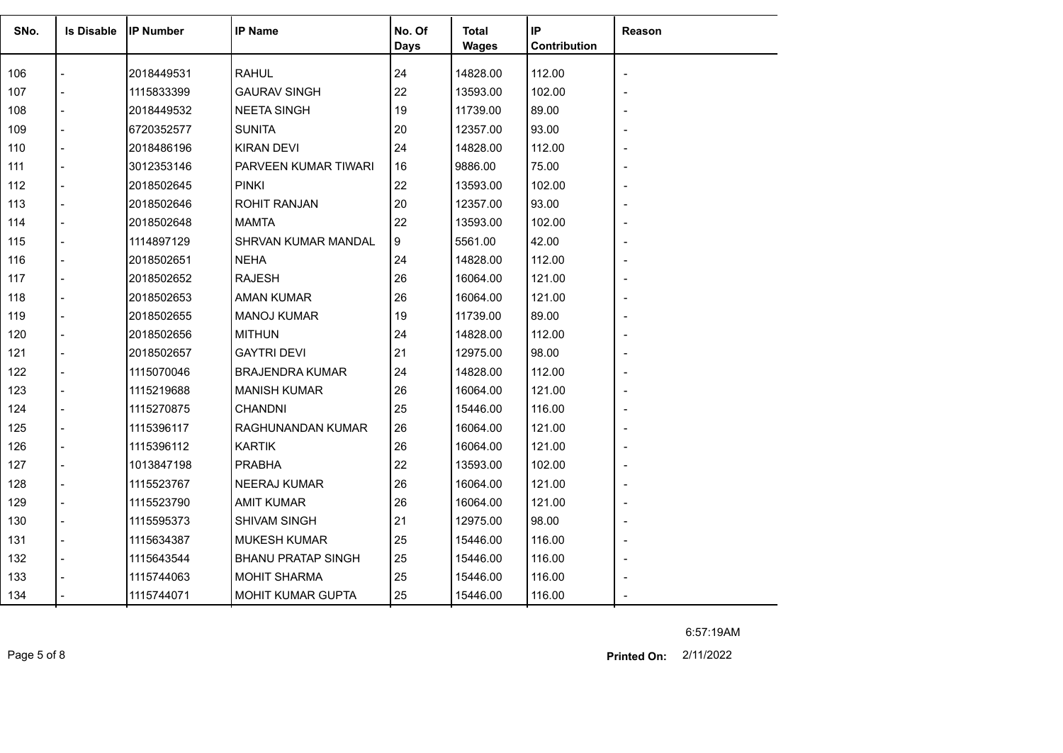| SNo. | <b>Is Disable</b> | <b>IP Number</b> | <b>IP Name</b>            | No. Of<br><b>Days</b> | Total<br><b>Wages</b> | IP<br>Contribution | Reason                   |
|------|-------------------|------------------|---------------------------|-----------------------|-----------------------|--------------------|--------------------------|
| 106  |                   | 2018449531       | <b>RAHUL</b>              | 24                    | 14828.00              | 112.00             |                          |
| 107  |                   | 1115833399       | <b>GAURAV SINGH</b>       | 22                    | 13593.00              | 102.00             |                          |
| 108  |                   | 2018449532       | <b>NEETA SINGH</b>        | 19                    | 11739.00              | 89.00              |                          |
| 109  |                   | 6720352577       | <b>SUNITA</b>             | 20                    | 12357.00              | 93.00              |                          |
| 110  |                   | 2018486196       | <b>KIRAN DEVI</b>         | 24                    | 14828.00              | 112.00             |                          |
| 111  |                   | 3012353146       | PARVEEN KUMAR TIWARI      | 16                    | 9886.00               | 75.00              |                          |
| 112  |                   | 2018502645       | <b>PINKI</b>              | 22                    | 13593.00              | 102.00             |                          |
| 113  |                   | 2018502646       | <b>ROHIT RANJAN</b>       | 20                    | 12357.00              | 93.00              |                          |
| 114  |                   | 2018502648       | <b>MAMTA</b>              | 22                    | 13593.00              | 102.00             |                          |
| 115  |                   | 1114897129       | SHRVAN KUMAR MANDAL       | 9                     | 5561.00               | 42.00              |                          |
| 116  |                   | 2018502651       | <b>NEHA</b>               | 24                    | 14828.00              | 112.00             |                          |
| 117  |                   | 2018502652       | <b>RAJESH</b>             | 26                    | 16064.00              | 121.00             |                          |
| 118  |                   | 2018502653       | <b>AMAN KUMAR</b>         | 26                    | 16064.00              | 121.00             |                          |
| 119  |                   | 2018502655       | <b>MANOJ KUMAR</b>        | 19                    | 11739.00              | 89.00              |                          |
| 120  |                   | 2018502656       | <b>MITHUN</b>             | 24                    | 14828.00              | 112.00             |                          |
| 121  |                   | 2018502657       | <b>GAYTRI DEVI</b>        | 21                    | 12975.00              | 98.00              |                          |
| 122  |                   | 1115070046       | <b>BRAJENDRA KUMAR</b>    | 24                    | 14828.00              | 112.00             |                          |
| 123  |                   | 1115219688       | <b>MANISH KUMAR</b>       | 26                    | 16064.00              | 121.00             |                          |
| 124  |                   | 1115270875       | <b>CHANDNI</b>            | 25                    | 15446.00              | 116.00             |                          |
| 125  |                   | 1115396117       | RAGHUNANDAN KUMAR         | 26                    | 16064.00              | 121.00             |                          |
| 126  |                   | 1115396112       | <b>KARTIK</b>             | 26                    | 16064.00              | 121.00             |                          |
| 127  |                   | 1013847198       | <b>PRABHA</b>             | 22                    | 13593.00              | 102.00             |                          |
| 128  |                   | 1115523767       | <b>NEERAJ KUMAR</b>       | 26                    | 16064.00              | 121.00             |                          |
| 129  |                   | 1115523790       | <b>AMIT KUMAR</b>         | 26                    | 16064.00              | 121.00             |                          |
| 130  |                   | 1115595373       | <b>SHIVAM SINGH</b>       | 21                    | 12975.00              | 98.00              |                          |
| 131  |                   | 1115634387       | <b>MUKESH KUMAR</b>       | 25                    | 15446.00              | 116.00             | $\overline{\phantom{a}}$ |
| 132  |                   | 1115643544       | <b>BHANU PRATAP SINGH</b> | 25                    | 15446.00              | 116.00             |                          |
| 133  |                   | 1115744063       | <b>MOHIT SHARMA</b>       | 25                    | 15446.00              | 116.00             |                          |
| 134  |                   | 1115744071       | MOHIT KUMAR GUPTA         | 25                    | 15446.00              | 116.00             |                          |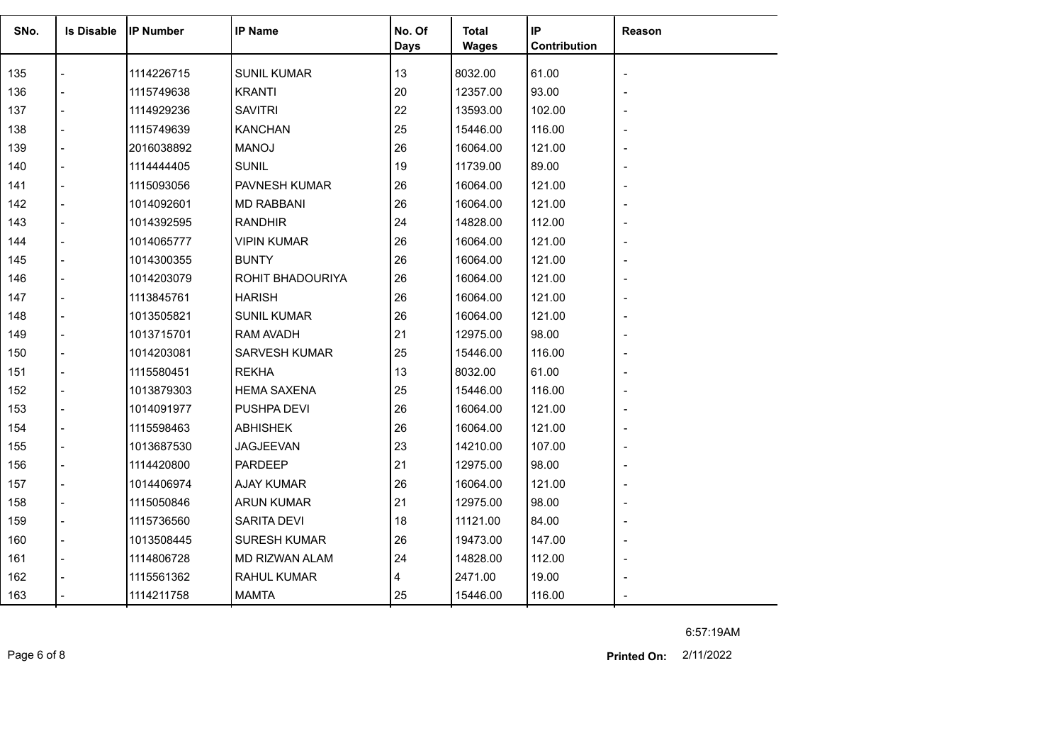| SNo. | <b>Is Disable</b>        | <b>IP Number</b> | <b>IP Name</b>        | No. Of<br><b>Days</b> | <b>Total</b><br><b>Wages</b> | IP<br>Contribution | Reason                   |
|------|--------------------------|------------------|-----------------------|-----------------------|------------------------------|--------------------|--------------------------|
| 135  |                          | 1114226715       | <b>SUNIL KUMAR</b>    | 13                    | 8032.00                      | 61.00              |                          |
| 136  | $\overline{a}$           | 1115749638       | <b>KRANTI</b>         | 20                    | 12357.00                     | 93.00              |                          |
| 137  | $\overline{a}$           | 1114929236       | <b>SAVITRI</b>        | 22                    | 13593.00                     | 102.00             | $\blacksquare$           |
| 138  |                          | 1115749639       | <b>KANCHAN</b>        | 25                    | 15446.00                     | 116.00             |                          |
| 139  | $\overline{a}$           | 2016038892       | <b>MANOJ</b>          | 26                    | 16064.00                     | 121.00             |                          |
| 140  | $\overline{a}$           | 1114444405       | <b>SUNIL</b>          | 19                    | 11739.00                     | 89.00              |                          |
| 141  |                          | 1115093056       | PAVNESH KUMAR         | 26                    | 16064.00                     | 121.00             |                          |
| 142  | $\overline{a}$           | 1014092601       | <b>MD RABBANI</b>     | 26                    | 16064.00                     | 121.00             |                          |
| 143  |                          | 1014392595       | <b>RANDHIR</b>        | 24                    | 14828.00                     | 112.00             |                          |
| 144  |                          | 1014065777       | <b>VIPIN KUMAR</b>    | 26                    | 16064.00                     | 121.00             | $\overline{\phantom{0}}$ |
| 145  | $\overline{a}$           | 1014300355       | <b>BUNTY</b>          | 26                    | 16064.00                     | 121.00             |                          |
| 146  |                          | 1014203079       | ROHIT BHADOURIYA      | 26                    | 16064.00                     | 121.00             |                          |
| 147  |                          | 1113845761       | <b>HARISH</b>         | 26                    | 16064.00                     | 121.00             |                          |
| 148  |                          | 1013505821       | <b>SUNIL KUMAR</b>    | 26                    | 16064.00                     | 121.00             |                          |
| 149  |                          | 1013715701       | RAM AVADH             | 21                    | 12975.00                     | 98.00              |                          |
| 150  | $\overline{a}$           | 1014203081       | <b>SARVESH KUMAR</b>  | 25                    | 15446.00                     | 116.00             |                          |
| 151  | $\overline{a}$           | 1115580451       | <b>REKHA</b>          | 13                    | 8032.00                      | 61.00              |                          |
| 152  |                          | 1013879303       | <b>HEMA SAXENA</b>    | 25                    | 15446.00                     | 116.00             |                          |
| 153  | $\overline{a}$           | 1014091977       | PUSHPA DEVI           | 26                    | 16064.00                     | 121.00             |                          |
| 154  | $\overline{a}$           | 1115598463       | <b>ABHISHEK</b>       | 26                    | 16064.00                     | 121.00             | $\overline{\phantom{0}}$ |
| 155  | $\overline{\phantom{a}}$ | 1013687530       | <b>JAGJEEVAN</b>      | 23                    | 14210.00                     | 107.00             |                          |
| 156  | $\overline{a}$           | 1114420800       | <b>PARDEEP</b>        | 21                    | 12975.00                     | 98.00              |                          |
| 157  | $\overline{a}$           | 1014406974       | <b>AJAY KUMAR</b>     | 26                    | 16064.00                     | 121.00             |                          |
| 158  |                          | 1115050846       | <b>ARUN KUMAR</b>     | 21                    | 12975.00                     | 98.00              |                          |
| 159  | $\blacksquare$           | 1115736560       | SARITA DEVI           | 18                    | 11121.00                     | 84.00              |                          |
| 160  | $\sim$                   | 1013508445       | <b>SURESH KUMAR</b>   | 26                    | 19473.00                     | 147.00             | $\blacksquare$           |
| 161  |                          | 1114806728       | <b>MD RIZWAN ALAM</b> | 24                    | 14828.00                     | 112.00             |                          |
| 162  |                          | 1115561362       | <b>RAHUL KUMAR</b>    | 4                     | 2471.00                      | 19.00              |                          |
| 163  |                          | 1114211758       | <b>MAMTA</b>          | 25                    | 15446.00                     | 116.00             |                          |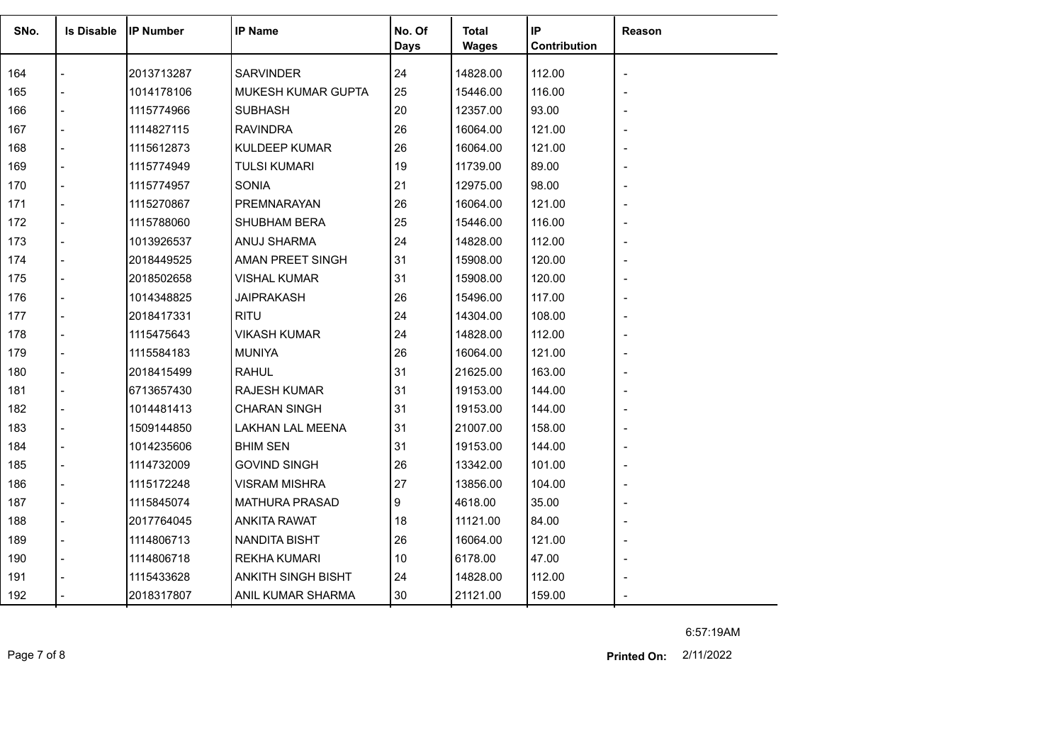| SNo. | <b>Is Disable</b> | <b>IP Number</b> | <b>IP Name</b>            | No. Of<br><b>Days</b> | <b>Total</b><br><b>Wages</b> | IP<br>Contribution | Reason |
|------|-------------------|------------------|---------------------------|-----------------------|------------------------------|--------------------|--------|
| 164  |                   | 2013713287       | <b>SARVINDER</b>          | 24                    | 14828.00                     | 112.00             |        |
| 165  |                   | 1014178106       | MUKESH KUMAR GUPTA        | 25                    | 15446.00                     | 116.00             |        |
| 166  |                   | 1115774966       | <b>SUBHASH</b>            | 20                    | 12357.00                     | 93.00              |        |
| 167  |                   | 1114827115       | <b>RAVINDRA</b>           | 26                    | 16064.00                     | 121.00             |        |
| 168  |                   | 1115612873       | KULDEEP KUMAR             | 26                    | 16064.00                     | 121.00             |        |
| 169  |                   | 1115774949       | <b>TULSI KUMARI</b>       | 19                    | 11739.00                     | 89.00              |        |
| 170  |                   | 1115774957       | <b>SONIA</b>              | 21                    | 12975.00                     | 98.00              |        |
| 171  |                   | 1115270867       | PREMNARAYAN               | 26                    | 16064.00                     | 121.00             |        |
| 172  |                   | 1115788060       | <b>SHUBHAM BERA</b>       | 25                    | 15446.00                     | 116.00             |        |
| 173  |                   | 1013926537       | ANUJ SHARMA               | 24                    | 14828.00                     | 112.00             |        |
| 174  |                   | 2018449525       | AMAN PREET SINGH          | 31                    | 15908.00                     | 120.00             |        |
| 175  |                   | 2018502658       | <b>VISHAL KUMAR</b>       | 31                    | 15908.00                     | 120.00             |        |
| 176  |                   | 1014348825       | <b>JAIPRAKASH</b>         | 26                    | 15496.00                     | 117.00             |        |
| 177  |                   | 2018417331       | <b>RITU</b>               | 24                    | 14304.00                     | 108.00             |        |
| 178  |                   | 1115475643       | <b>VIKASH KUMAR</b>       | 24                    | 14828.00                     | 112.00             |        |
| 179  |                   | 1115584183       | <b>MUNIYA</b>             | 26                    | 16064.00                     | 121.00             |        |
| 180  |                   | 2018415499       | <b>RAHUL</b>              | 31                    | 21625.00                     | 163.00             |        |
| 181  |                   | 6713657430       | <b>RAJESH KUMAR</b>       | 31                    | 19153.00                     | 144.00             |        |
| 182  |                   | 1014481413       | <b>CHARAN SINGH</b>       | 31                    | 19153.00                     | 144.00             |        |
| 183  |                   | 1509144850       | LAKHAN LAL MEENA          | 31                    | 21007.00                     | 158.00             |        |
| 184  |                   | 1014235606       | <b>BHIM SEN</b>           | 31                    | 19153.00                     | 144.00             |        |
| 185  |                   | 1114732009       | <b>GOVIND SINGH</b>       | 26                    | 13342.00                     | 101.00             |        |
| 186  |                   | 1115172248       | <b>VISRAM MISHRA</b>      | 27                    | 13856.00                     | 104.00             |        |
| 187  |                   | 1115845074       | <b>MATHURA PRASAD</b>     | 9                     | 4618.00                      | 35.00              |        |
| 188  |                   | 2017764045       | <b>ANKITA RAWAT</b>       | 18                    | 11121.00                     | 84.00              |        |
| 189  |                   | 1114806713       | <b>NANDITA BISHT</b>      | 26                    | 16064.00                     | 121.00             |        |
| 190  |                   | 1114806718       | REKHA KUMARI              | 10                    | 6178.00                      | 47.00              |        |
| 191  |                   | 1115433628       | <b>ANKITH SINGH BISHT</b> | 24                    | 14828.00                     | 112.00             |        |
| 192  |                   | 2018317807       | ANIL KUMAR SHARMA         | 30                    | 21121.00                     | 159.00             |        |